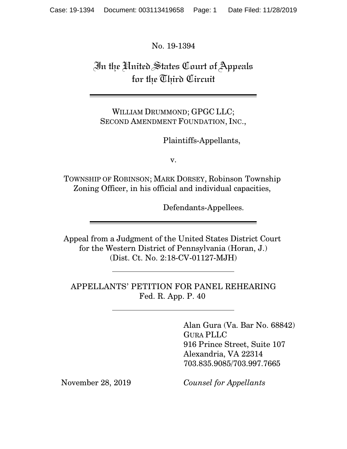No. 19-1394

In the United States Court of Appeals for the Third Circuit

WILLIAM DRUMMOND; GPGC LLC; SECOND AMENDMENT FOUNDATION, INC.,

Plaintiffs-Appellants,

v.

TOWNSHIP OF ROBINSON; MARK DORSEY, Robinson Township Zoning Officer, in his official and individual capacities,

Defendants-Appellees.

Appeal from a Judgment of the United States District Court for the Western District of Pennsylvania (Horan, J.) (Dist. Ct. No. 2:18-CV-01127-MJH)

APPELLANTS' PETITION FOR PANEL REHEARING Fed. R. App. P. 40

> Alan Gura (Va. Bar No. 68842) GURA PLLC 916 Prince Street, Suite 107 Alexandria, VA 22314 703.835.9085/703.997.7665

November 28, 2019 *Counsel for Appellants*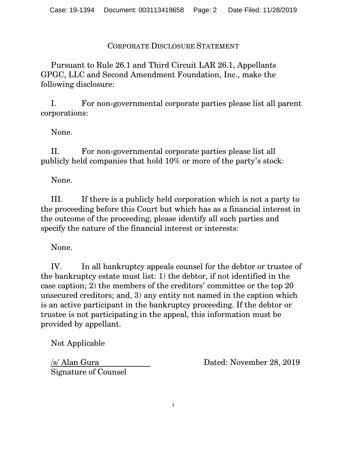CORPORATE DISCLOSURE STATEMENT

Pursuant to Rule 26.1 and Third Circuit LAR 26.1, Appellants GPGC, LLC and Second Amendment Foundation, Inc., make the following disclosure:

I. For non-governmental corporate parties please list all parent corporations:

None.

II. For non-governmental corporate parties please list all publicly held companies that hold 10% or more of the party's stock:

None.

III. If there is a publicly held corporation which is not a party to the proceeding before this Court but which has as a financial interest in the outcome of the proceeding, please identify all such parties and specify the nature of the financial interest or interests:

None.

IV. In all bankruptcy appeals counsel for the debtor or trustee of the bankruptcy estate must list: 1) the debtor, if not identified in the case caption; 2) the members of the creditors' committee or the top 20 unsecured creditors; and, 3) any entity not named in the caption which is an active participant in the bankruptcy proceeding. If the debtor or trustee is not participating in the appeal, this information must be provided by appellant.

Not Applicable

Signature of Counsel

/s/ Alan Gura Dated: November 28, 2019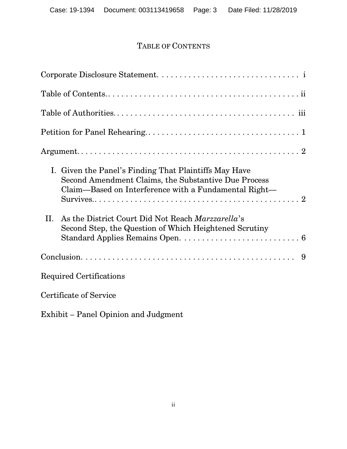# TABLE OF CONTENTS

| I. Given the Panel's Finding That Plaintiffs May Have<br>Second Amendment Claims, the Substantive Due Process<br>Claim—Based on Interference with a Fundamental Right— |
|------------------------------------------------------------------------------------------------------------------------------------------------------------------------|
| II. As the District Court Did Not Reach <i>Marzzarella</i> 's<br>Second Step, the Question of Which Heightened Scrutiny                                                |
|                                                                                                                                                                        |
| Required Certifications                                                                                                                                                |
| Certificate of Service                                                                                                                                                 |

Exhibit – Panel Opinion and Judgment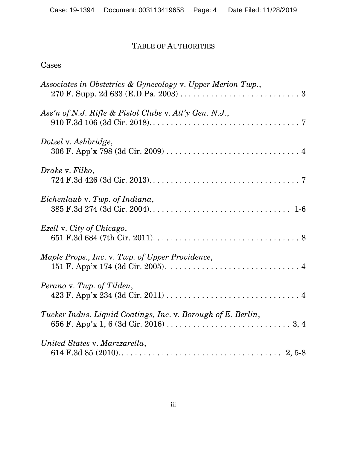## TABLE OF AUTHORITIES

## Cases

| Associates in Obstetrics & Gynecology v. Upper Merion Twp.,  |
|--------------------------------------------------------------|
| Ass'n of N.J. Rifle & Pistol Clubs v. Att'y Gen. N.J.,       |
| Dotzel v. Ashbridge,                                         |
| Drake v. Filko,                                              |
| Eichenlaub v. Twp. of Indiana,                               |
| Ezell v. City of Chicago,                                    |
| Maple Props., Inc. v. Twp. of Upper Providence,              |
| Perano v. Twp. of Tilden,                                    |
| Tucker Indus. Liquid Coatings, Inc. v. Borough of E. Berlin, |
| United States v. Marzzarella,                                |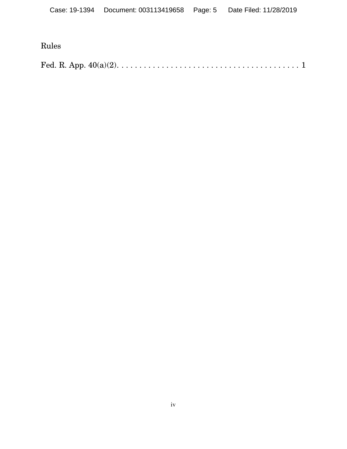# Rules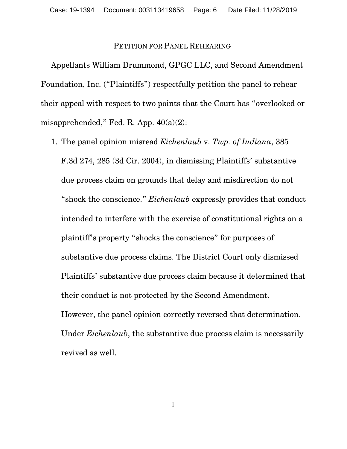## PETITION FOR PANEL REHEARING

Appellants William Drummond, GPGC LLC, and Second Amendment Foundation, Inc. ("Plaintiffs") respectfully petition the panel to rehear their appeal with respect to two points that the Court has "overlooked or misapprehended," Fed. R. App. 40(a)(2):

1. The panel opinion misread *Eichenlaub* v. *Twp. of Indiana*, 385 F.3d 274, 285 (3d Cir. 2004), in dismissing Plaintiffs' substantive due process claim on grounds that delay and misdirection do not "shock the conscience." *Eichenlaub* expressly provides that conduct intended to interfere with the exercise of constitutional rights on a plaintiff's property "shocks the conscience" for purposes of substantive due process claims. The District Court only dismissed Plaintiffs' substantive due process claim because it determined that their conduct is not protected by the Second Amendment. However, the panel opinion correctly reversed that determination. Under *Eichenlaub*, the substantive due process claim is necessarily revived as well.

1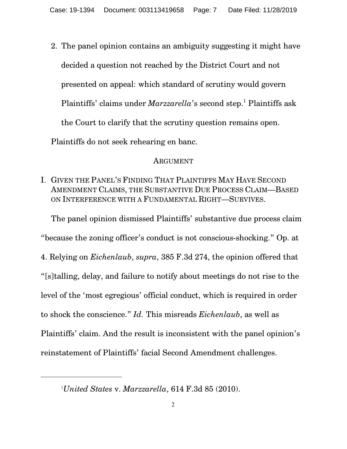2. The panel opinion contains an ambiguity suggesting it might have decided a question not reached by the District Court and not presented on appeal: which standard of scrutiny would govern Plaintiffs' claims under *Marzzarella*'s second step.<sup>1</sup> Plaintiffs ask the Court to clarify that the scrutiny question remains open. Plaintiffs do not seek rehearing en banc.

## ARGUMENT

I. GIVEN THE PANEL'S FINDING THAT PLAINTIFFS MAY HAVE SECOND AMENDMENT CLAIMS, THE SUBSTANTIVE DUE PROCESS CLAIM—BASED ON INTERFERENCE WITH A FUNDAMENTAL RIGHT—SURVIVES.

The panel opinion dismissed Plaintiffs' substantive due process claim "because the zoning officer's conduct is not conscious-shocking." Op. at 4. Relying on *Eichenlaub*, *supra*, 385 F.3d 274, the opinion offered that "[s]talling, delay, and failure to notify about meetings do not rise to the level of the 'most egregious' official conduct, which is required in order to shock the conscience." *Id.* This misreads *Eichenlaub*, as well as Plaintiffs' claim. And the result is inconsistent with the panel opinion's reinstatement of Plaintiffs' facial Second Amendment challenges.

<sup>1</sup>*United States* v. *Marzzarella*, 614 F.3d 85 (2010).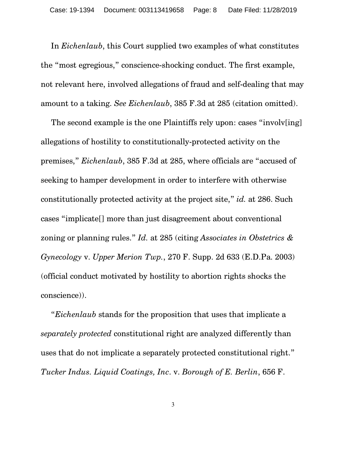In *Eichenlaub*, this Court supplied two examples of what constitutes the "most egregious," conscience-shocking conduct. The first example, not relevant here, involved allegations of fraud and self-dealing that may amount to a taking. *See Eichenlaub*, 385 F.3d at 285 (citation omitted).

The second example is the one Plaintiffs rely upon: cases "involv[ing] allegations of hostility to constitutionally-protected activity on the premises," *Eichenlaub*, 385 F.3d at 285, where officials are "accused of seeking to hamper development in order to interfere with otherwise constitutionally protected activity at the project site," *id.* at 286. Such cases "implicate[] more than just disagreement about conventional zoning or planning rules." *Id.* at 285 (citing *Associates in Obstetrics & Gynecology* v. *Upper Merion Twp.*, 270 F. Supp. 2d 633 (E.D.Pa. 2003) (official conduct motivated by hostility to abortion rights shocks the conscience)).

"*Eichenlaub* stands for the proposition that uses that implicate a *separately protected* constitutional right are analyzed differently than uses that do not implicate a separately protected constitutional right." *Tucker Indus. Liquid Coatings, Inc*. v. *Borough of E. Berlin*, 656 F.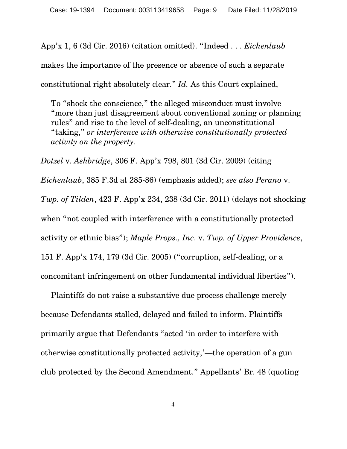App'x 1, 6 (3d Cir. 2016) (citation omitted). "Indeed . . . *Eichenlaub* makes the importance of the presence or absence of such a separate constitutional right absolutely clear." *Id.* As this Court explained,

To "shock the conscience," the alleged misconduct must involve "more than just disagreement about conventional zoning or planning rules" and rise to the level of self-dealing, an unconstitutional "taking," *or interference with otherwise constitutionally protected activity on the property*.

*Dotzel* v. *Ashbridge*, 306 F. App'x 798, 801 (3d Cir. 2009) (citing *Eichenlaub*, 385 F.3d at 285-86) (emphasis added); *see also Perano* v. *Twp. of Tilden*, 423 F. App'x 234, 238 (3d Cir. 2011) (delays not shocking when "not coupled with interference with a constitutionally protected activity or ethnic bias"); *Maple Props., Inc*. v. *Twp. of Upper Providence*, 151 F. App'x 174, 179 (3d Cir. 2005) ("corruption, self-dealing, or a concomitant infringement on other fundamental individual liberties").

Plaintiffs do not raise a substantive due process challenge merely because Defendants stalled, delayed and failed to inform. Plaintiffs primarily argue that Defendants "acted 'in order to interfere with otherwise constitutionally protected activity,'—the operation of a gun club protected by the Second Amendment." Appellants' Br. 48 (quoting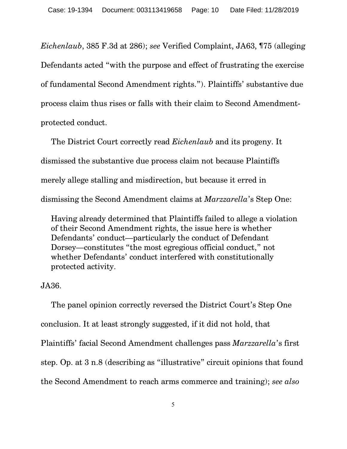*Eichenlaub*, 385 F.3d at 286); *see* Verified Complaint, JA63, ¶75 (alleging Defendants acted "with the purpose and effect of frustrating the exercise of fundamental Second Amendment rights."). Plaintiffs' substantive due process claim thus rises or falls with their claim to Second Amendmentprotected conduct.

The District Court correctly read *Eichenlaub* and its progeny. It dismissed the substantive due process claim not because Plaintiffs merely allege stalling and misdirection, but because it erred in dismissing the Second Amendment claims at *Marzzarella*'s Step One:

Having already determined that Plaintiffs failed to allege a violation of their Second Amendment rights, the issue here is whether Defendants' conduct—particularly the conduct of Defendant Dorsey—constitutes "the most egregious official conduct," not whether Defendants' conduct interfered with constitutionally protected activity.

## JA36.

The panel opinion correctly reversed the District Court's Step One conclusion. It at least strongly suggested, if it did not hold, that Plaintiffs' facial Second Amendment challenges pass *Marzzarella*'s first step. Op. at 3 n.8 (describing as "illustrative" circuit opinions that found the Second Amendment to reach arms commerce and training); *see also*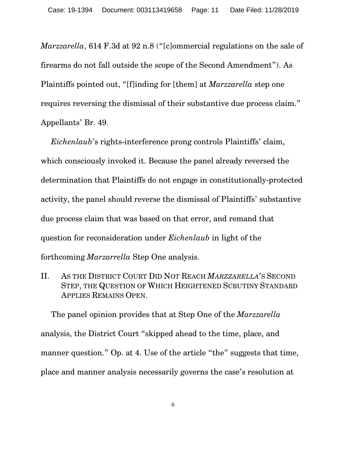*Marzzarella*, 614 F.3d at 92 n.8 ("[c]ommercial regulations on the sale of firearms do not fall outside the scope of the Second Amendment"). As Plaintiffs pointed out, "[f]inding for [them] at *Marzzarella* step one requires reversing the dismissal of their substantive due process claim." Appellants' Br. 49.

*Eichenlaub*'s rights-interference prong controls Plaintiffs' claim, which consciously invoked it. Because the panel already reversed the determination that Plaintiffs do not engage in constitutionally-protected activity, the panel should reverse the dismissal of Plaintiffs' substantive due process claim that was based on that error, and remand that question for reconsideration under *Eichenlaub* in light of the forthcoming *Marzarrella* Step One analysis.

II. AS THE DISTRICT COURT DID NOT REACH *MARZZARELLA*'S SECOND STEP, THE QUESTION OF WHICH HEIGHTENED SCRUTINY STANDARD APPLIES REMAINS OPEN.

The panel opinion provides that at Step One of the *Marzzarella* analysis, the District Court "skipped ahead to the time, place, and manner question." Op. at 4. Use of the article "the" suggests that time, place and manner analysis necessarily governs the case's resolution at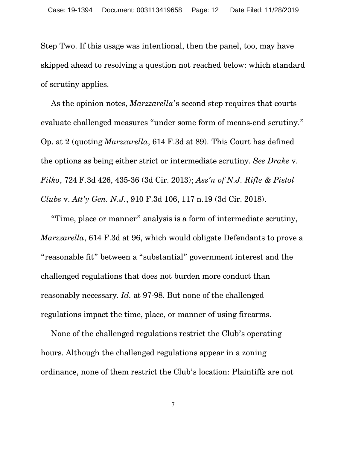Step Two. If this usage was intentional, then the panel, too, may have skipped ahead to resolving a question not reached below: which standard of scrutiny applies.

As the opinion notes, *Marzzarella*'s second step requires that courts evaluate challenged measures "under some form of means-end scrutiny." Op. at 2 (quoting *Marzzarella*, 614 F.3d at 89). This Court has defined the options as being either strict or intermediate scrutiny. *See Drake* v. *Filko*, 724 F.3d 426, 435-36 (3d Cir. 2013); *Ass'n of N.J. Rifle & Pistol Clubs* v. *Att'y Gen. N.J.*, 910 F.3d 106, 117 n.19 (3d Cir. 2018).

"Time, place or manner" analysis is a form of intermediate scrutiny, *Marzzarella*, 614 F.3d at 96, which would obligate Defendants to prove a "reasonable fit" between a "substantial" government interest and the challenged regulations that does not burden more conduct than reasonably necessary. *Id.* at 97-98. But none of the challenged regulations impact the time, place, or manner of using firearms.

None of the challenged regulations restrict the Club's operating hours. Although the challenged regulations appear in a zoning ordinance, none of them restrict the Club's location: Plaintiffs are not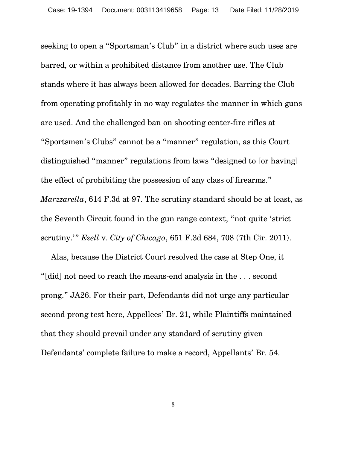seeking to open a "Sportsman's Club" in a district where such uses are barred, or within a prohibited distance from another use. The Club stands where it has always been allowed for decades. Barring the Club from operating profitably in no way regulates the manner in which guns are used. And the challenged ban on shooting center-fire rifles at "Sportsmen's Clubs" cannot be a "manner" regulation, as this Court distinguished "manner" regulations from laws "designed to [or having] the effect of prohibiting the possession of any class of firearms." *Marzzarella*, 614 F.3d at 97. The scrutiny standard should be at least, as the Seventh Circuit found in the gun range context, "not quite 'strict scrutiny.'" *Ezell* v. *City of Chicago*, 651 F.3d 684, 708 (7th Cir. 2011).

Alas, because the District Court resolved the case at Step One, it "[did] not need to reach the means-end analysis in the . . . second prong." JA26. For their part, Defendants did not urge any particular second prong test here, Appellees' Br. 21, while Plaintiffs maintained that they should prevail under any standard of scrutiny given Defendants' complete failure to make a record, Appellants' Br. 54.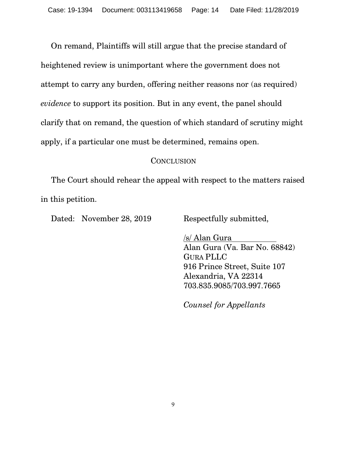On remand, Plaintiffs will still argue that the precise standard of heightened review is unimportant where the government does not attempt to carry any burden, offering neither reasons nor (as required) *evidence* to support its position. But in any event, the panel should clarify that on remand, the question of which standard of scrutiny might apply, if a particular one must be determined, remains open.

### **CONCLUSION**

The Court should rehear the appeal with respect to the matters raised in this petition.

Dated: November 28, 2019 Respectfully submitted,

/s/ Alan Gura Alan Gura (Va. Bar No. 68842) GURA PLLC 916 Prince Street, Suite 107 Alexandria, VA 22314 703.835.9085/703.997.7665

*Counsel for Appellants*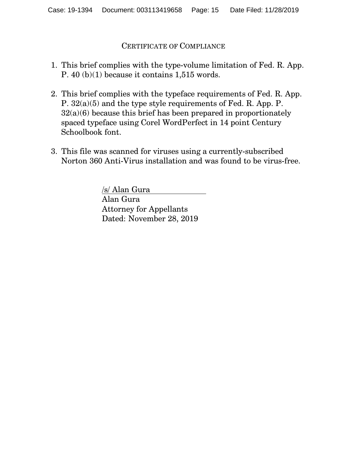## CERTIFICATE OF COMPLIANCE

- 1. This brief complies with the type-volume limitation of Fed. R. App. P. 40 (b)(1) because it contains 1,515 words.
- 2. This brief complies with the typeface requirements of Fed. R. App. P. 32(a)(5) and the type style requirements of Fed. R. App. P. 32(a)(6) because this brief has been prepared in proportionately spaced typeface using Corel WordPerfect in 14 point Century Schoolbook font.
- 3. This file was scanned for viruses using a currently-subscribed Norton 360 Anti-Virus installation and was found to be virus-free.

/s/ Alan Gura Alan Gura Attorney for Appellants Dated: November 28, 2019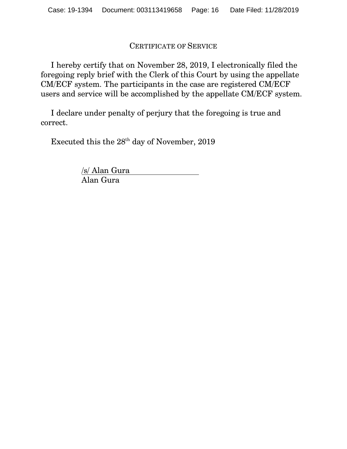## CERTIFICATE OF SERVICE

I hereby certify that on November 28, 2019, I electronically filed the foregoing reply brief with the Clerk of this Court by using the appellate CM/ECF system. The participants in the case are registered CM/ECF users and service will be accomplished by the appellate CM/ECF system.

I declare under penalty of perjury that the foregoing is true and correct.

Executed this the  $28^{\rm th}$  day of November, 2019

/s/ Alan Gura Alan Gura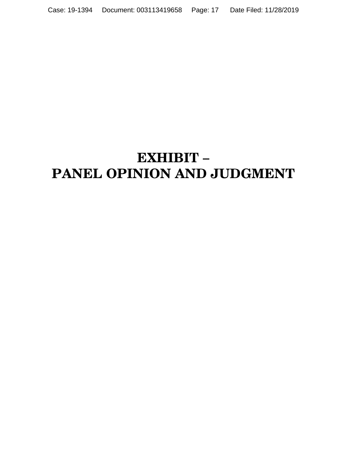# **EXHIBIT – PANEL OPINION AND JUDGMENT**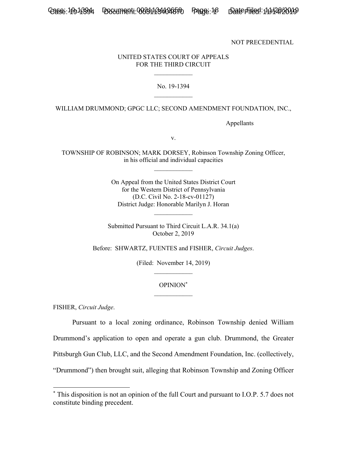NOT PRECEDENTIAL

#### UNITED STATES COURT OF APPEALS FOR THE THIRD CIRCUIT  $\frac{1}{2}$

#### No. 19-1394  $\frac{1}{2}$

WILLIAM DRUMMOND; GPGC LLC; SECOND AMENDMENT FOUNDATION, INC.,

Appellants

v.

TOWNSHIP OF ROBINSON; MARK DORSEY, Robinson Township Zoning Officer, in his official and individual capacities  $\frac{1}{2}$ 

> On Appeal from the United States District Court for the Western District of Pennsylvania (D.C. Civil No. 2-18-cv-01127) District Judge: Honorable Marilyn J. Horan

Submitted Pursuant to Third Circuit L.A.R. 34.1(a) October 2, 2019

Before: SHWARTZ, FUENTES and FISHER, *Circuit Judges*.

(Filed: November 14, 2019)  $\mathcal{L}_\text{max}$ 

#### OPINION\*  $\mathcal{L}_\text{max}$

FISHER, *Circuit Judge*.

-

Pursuant to a local zoning ordinance, Robinson Township denied William Drummond's application to open and operate a gun club. Drummond, the Greater Pittsburgh Gun Club, LLC, and the Second Amendment Foundation, Inc. (collectively, "Drummond") then brought suit, alleging that Robinson Township and Zoning Officer

<sup>\*</sup> This disposition is not an opinion of the full Court and pursuant to I.O.P. 5.7 does not constitute binding precedent.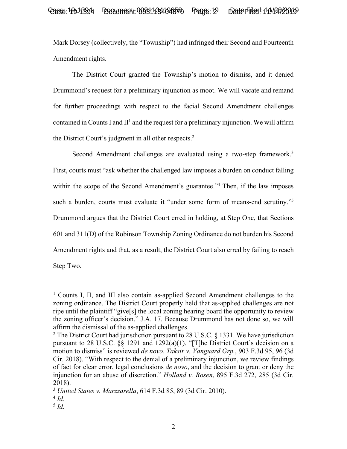Mark Dorsey (collectively, the "Township") had infringed their Second and Fourteenth Amendment rights.

The District Court granted the Township's motion to dismiss, and it denied Drummond's request for a preliminary injunction as moot. We will vacate and remand for further proceedings with respect to the facial Second Amendment challenges contained in Counts I and  $II<sup>1</sup>$  and the request for a preliminary injunction. We will affirm the District Court's judgment in all other respects.<sup>2</sup>

Second Amendment challenges are evaluated using a two-step framework.<sup>3</sup> First, courts must "ask whether the challenged law imposes a burden on conduct falling within the scope of the Second Amendment's guarantee."<sup>4</sup> Then, if the law imposes such a burden, courts must evaluate it "under some form of means-end scrutiny."<sup>5</sup> Drummond argues that the District Court erred in holding, at Step One, that Sections 601 and 311(D) of the Robinson Township Zoning Ordinance do not burden his Second Amendment rights and that, as a result, the District Court also erred by failing to reach Step Two.

-

<sup>&</sup>lt;sup>1</sup> Counts I, II, and III also contain as-applied Second Amendment challenges to the zoning ordinance. The District Court properly held that as-applied challenges are not ripe until the plaintiff "give[s] the local zoning hearing board the opportunity to review the zoning officer's decision." J.A. 17. Because Drummond has not done so, we will affirm the dismissal of the as-applied challenges.

<sup>&</sup>lt;sup>2</sup> The District Court had jurisdiction pursuant to 28 U.S.C. § 1331. We have jurisdiction pursuant to 28 U.S.C. §§ 1291 and 1292(a)(1). "[T]he District Court's decision on a motion to dismiss" is reviewed *de novo*. *Taksir v. Vanguard Grp.*, 903 F.3d 95, 96 (3d Cir. 2018). "With respect to the denial of a preliminary injunction, we review findings of fact for clear error, legal conclusions *de novo*, and the decision to grant or deny the injunction for an abuse of discretion." *Holland v. Rosen*, 895 F.3d 272, 285 (3d Cir. 2018).

<sup>3</sup> *United States v. Marzzarella*, 614 F.3d 85, 89 (3d Cir. 2010).

 $4$  *Id.* 

<sup>5</sup> *Id.*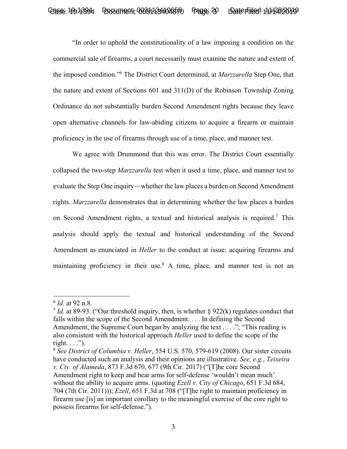"In order to uphold the constitutionality of a law imposing a condition on the commercial sale of firearms, a court necessarily must examine the nature and extent of the imposed condition."6 The District Court determined, at *Marzzarella* Step One, that the nature and extent of Sections 601 and 311(D) of the Robinson Township Zoning Ordinance do not substantially burden Second Amendment rights because they leave open alternative channels for law-abiding citizens to acquire a firearm or maintain proficiency in the use of firearms through use of a time, place, and manner test.

We agree with Drummond that this was error. The District Court essentially collapsed the two-step *Marzzarella* test when it used a time, place, and manner test to evaluate the Step One inquiry—whether the law places a burden on Second Amendment rights. *Marzzarella* demonstrates that in determining whether the law places a burden on Second Amendment rights, a textual and historical analysis is required.7 This analysis should apply the textual and historical understanding of the Second Amendment as enunciated in *Heller* to the conduct at issue: acquiring firearms and maintaining proficiency in their use.<sup>8</sup> A time, place, and manner test is not an

-

<sup>6</sup> *Id.* at 92 n.8.

<sup>7</sup> *Id.* at 89-93. ("Our threshold inquiry, then, is whether § 922(k) regulates conduct that falls within the scope of the Second Amendment. . . . In defining the Second Amendment, the Supreme Court began by analyzing the text . . . ."; "This reading is also consistent with the historical approach *Heller* used to define the scope of the right.  $\ldots$ ").

<sup>8</sup> *See District of Columbia v. Heller*, 554 U.S. 570, 579-619 (2008). Our sister circuits have conducted such an analysis and their opinions are illustrative. *See, e.g.*, *Teixeira v. Cty. of Alameda*, 873 F.3d 670, 677 (9th Cir. 2017) ("[T]he core Second Amendment right to keep and bear arms for self-defense 'wouldn't mean much' without the ability to acquire arms. (quoting *Ezell v. City of Chicago*, 651 F.3d 684, 704 (7th Cir. 2011))); *Ezell*, 651 F.3d at 708 ("[T]he right to maintain proficiency in firearm use [is] an important corollary to the meaningful exercise of the core right to possess firearms for self-defense.").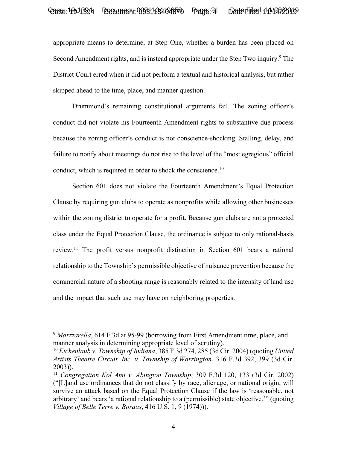appropriate means to determine, at Step One, whether a burden has been placed on Second Amendment rights, and is instead appropriate under the Step Two inquiry.<sup>9</sup> The District Court erred when it did not perform a textual and historical analysis, but rather skipped ahead to the time, place, and manner question.

Drummond's remaining constitutional arguments fail. The zoning officer's conduct did not violate his Fourteenth Amendment rights to substantive due process because the zoning officer's conduct is not conscience-shocking. Stalling, delay, and failure to notify about meetings do not rise to the level of the "most egregious" official conduct, which is required in order to shock the conscience.<sup>10</sup>

Section 601 does not violate the Fourteenth Amendment's Equal Protection Clause by requiring gun clubs to operate as nonprofits while allowing other businesses within the zoning district to operate for a profit. Because gun clubs are not a protected class under the Equal Protection Clause, the ordinance is subject to only rational-basis review.11 The profit versus nonprofit distinction in Section 601 bears a rational relationship to the Township's permissible objective of nuisance prevention because the commercial nature of a shooting range is reasonably related to the intensity of land use and the impact that such use may have on neighboring properties.

-

<sup>9</sup> *Marzzarella*, 614 F.3d at 95-99 (borrowing from First Amendment time, place, and manner analysis in determining appropriate level of scrutiny).

<sup>10</sup> *Eichenlaub v. Township of Indiana*, 385 F.3d 274, 285 (3d Cir. 2004) (quoting *United Artists Theatre Circuit, Inc. v. Township of Warrington*, 316 F.3d 392, 399 (3d Cir. 2003)).

<sup>11</sup> *Congregation Kol Ami v. Abington Township*, 309 F.3d 120, 133 (3d Cir. 2002) ("[L]and use ordinances that do not classify by race, alienage, or national origin, will survive an attack based on the Equal Protection Clause if the law is 'reasonable, not arbitrary' and bears 'a rational relationship to a (permissible) state objective.'" (quoting *Village of Belle Terre v. Boraas*, 416 U.S. 1, 9 (1974))).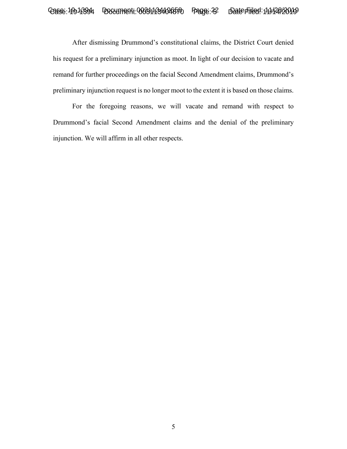## Case: 19913394 Document: 003311341046570 Page: 22 Date Filed: 11/126/2019

After dismissing Drummond's constitutional claims, the District Court denied his request for a preliminary injunction as moot. In light of our decision to vacate and remand for further proceedings on the facial Second Amendment claims, Drummond's preliminary injunction request is no longer moot to the extent it is based on those claims.

For the foregoing reasons, we will vacate and remand with respect to Drummond's facial Second Amendment claims and the denial of the preliminary injunction. We will affirm in all other respects.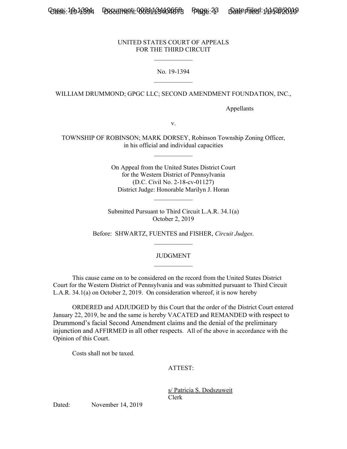Casse: 199-13394 Document: 0033113341048573 Page: 23 Date Filed: 11/12612019 Case: 1

#### UNITED STATES COURT OF APPEALS FOR THE THIRD CIRCUIT

 $\mathcal{L}_\text{max}$ 

#### No. 19-1394  $\mathcal{L}_\text{max}$

#### WILLIAM DRUMMOND; GPGC LLC; SECOND AMENDMENT FOUNDATION, INC.,

Appellants

v.

TOWNSHIP OF ROBINSON; MARK DORSEY, Robinson Township Zoning Officer, in his official and individual capacities

 $\frac{1}{2}$ 

On Appeal from the United States District Court for the Western District of Pennsylvania (D.C. Civil No. 2-18-cv-01127) District Judge: Honorable Marilyn J. Horan

 $\mathcal{L}_\text{max}$ 

Submitted Pursuant to Third Circuit L.A.R. 34.1(a) October 2, 2019

Before: SHWARTZ, FUENTES and FISHER, *Circuit Judges*.  $\mathcal{L}_\text{max}$ 

#### JUDGMENT  $\frac{1}{2}$

 This cause came on to be considered on the record from the United States District Court for the Western District of Pennsylvania and was submitted pursuant to Third Circuit L.A.R. 34.1(a) on October 2, 2019. On consideration whereof, it is now hereby

 ORDERED and ADJUDGED by this Court that the order of the District Court entered January 22, 2019, be and the same is hereby VACATED and REMANDED with respect to Drummond's facial Second Amendment claims and the denial of the preliminary injunction and AFFIRMED in all other respects. All of the above in accordance with the Opinion of this Court.

Costs shall not be taxed.

ATTEST:

 s/ Patricia S. Dodszuweit Clerk

Dated: November 14, 2019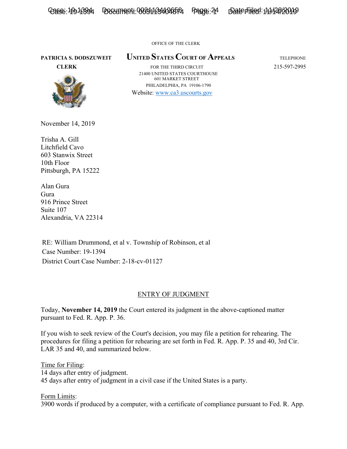Casse: 19913394 Document: 0033113340265521 Page: 24 Date Filed: 11/12612019

OFFICE OF THE CLERK

## **PATRICIA S. DODSZUWEIT UNITED STATES COURT OF APPEALS** TELEPHONE



**CLERK FOR THE THIRD CIRCUIT** 215-597-2995 21400 UNITED STATES COURTHOUSE 601 MARKET STREET PHILADELPHIA, PA 19106-1790

Website: www.ca3.uscourts.gov

November 14, 2019

Trisha A. Gill Litchfield Cavo 603 Stanwix Street 10th Floor Pittsburgh, PA 15222

Alan Gura Gura 916 Prince Street Suite 107 Alexandria, VA 22314

RE: William Drummond, et al v. Township of Robinson, et al Case Number: 19-1394 District Court Case Number: 2-18-cv-01127

#### ENTRY OF JUDGMENT

Today, **November 14, 2019** the Court entered its judgment in the above-captioned matter pursuant to Fed. R. App. P. 36.

If you wish to seek review of the Court's decision, you may file a petition for rehearing. The procedures for filing a petition for rehearing are set forth in Fed. R. App. P. 35 and 40, 3rd Cir. LAR 35 and 40, and summarized below.

Time for Filing: 14 days after entry of judgment. 45 days after entry of judgment in a civil case if the United States is a party.

Form Limits: 3900 words if produced by a computer, with a certificate of compliance pursuant to Fed. R. App.